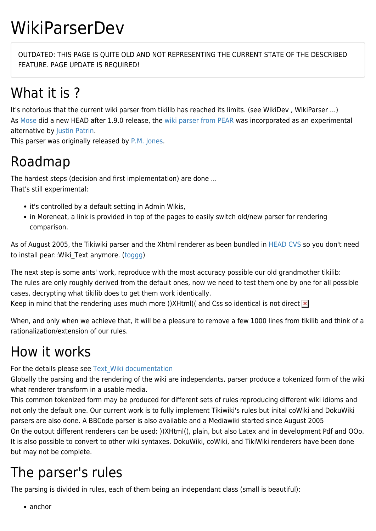# WikiParserDev

OUTDATED: THIS PAGE IS QUITE OLD AND NOT REPRESENTING THE CURRENT STATE OF THE DESCRIBED FEATURE. PAGE UPDATE IS REQUIRED!

## What it is ?

It's notorious that the current wiki parser from tikilib has reached its limits. (see WikiDev , WikiParser ...) As [Mose](https://tiki.org/UserPagemose) did a new [HEAD](https://tiki.org/tiki-editpage.php?page=ReleaseProcess110) after 1.9.0 release, the [wiki parser from PEAR](http://pear.php.net/package/Text_Wiki/) was incorporated as an experimental alternative by [Justin Patrin.](https://tiki.org/UserPagepapercrane)

This parser was originally released by [P.M. Jones.](http://paul-m-jones.com/)

#### Roadmap

The hardest steps (decision and first implementation) are done ... That's still experimental:

- it's controlled by a default setting in Admin Wikis,
- in Moreneat, a link is provided in top of the pages to easily switch old/new parser for rendering comparison.

As of August 2005, the Tikiwiki parser and the Xhtml renderer as been bundled in [HEAD CVS](https://tiki.org/Get-Tiki) so you don't need to install pear::Wiki\_Text anymore. [\(toggg](https://tiki.org/UserPagetoggg))

The next step is some ants' work, reproduce with the most accuracy possible our old grandmother tikilib: The rules are only roughly derived from the default ones, now we need to test them one by one for all possible cases, decrypting what tikilib does to get them work identically.

Keep in mind that the rendering uses much more ))XHtml(( and Css so identical is not direct  $\frac{x}{x}$ 

When, and only when we achieve that, it will be a pleasure to remove a few 1000 lines from tikilib and think of a rationalization/extension of our rules.

## How it works

For the details please see [Text\\_Wiki](http://wiki.ciaweb.net/yawiki/index.php?area=Text_Wiki&page=HomePage) [documentation](http://wiki.ciaweb.net/yawiki/index.php?area=Text_Wiki&page=UserDocs)

Globally the parsing and the rendering of the wiki are independants, parser produce a tokenized form of the wiki what renderer transform in a usable media.

This common tokenized form may be produced for different sets of rules reproducing different wiki idioms and not only the default one. Our current work is to fully implement Tikiwiki's rules but inital coWiki and DokuWiki parsers are also done. A BBCode parser is also available and a Mediawiki started since August 2005 On the output different renderers can be used: ))XHtml((, plain, but also Latex and in development Pdf and OOo. It is also possible to convert to other wiki syntaxes. DokuWiki, coWiki, and TikiWiki renderers have been done but may not be complete.

## The parser's rules

The parsing is divided in rules, each of them being an independant class (small is beautiful):

• anchor